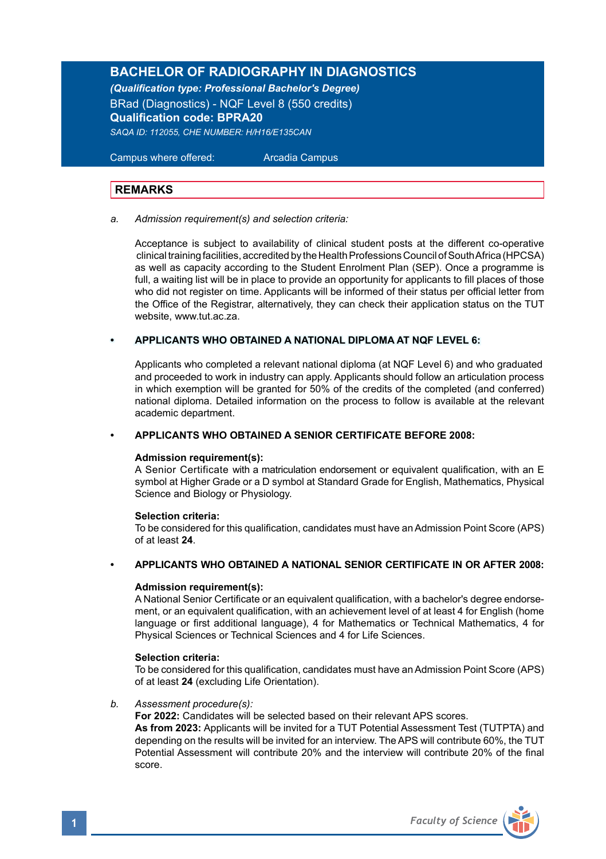# **BACHELOR OF RADIOGRAPHY IN DIAGNOSTICS**

*(Qualification type: Professional Bachelor's Degree)* BRad (Diagnostics) - NQF Level 8 (550 credits) **Qualification code: BPRA20** *SAQA ID: 112055, CHE NUMBER: H/H16/E135CAN*

 Campus where offered: Arcadia Campus

## **REMARKS**

*a. Admission requirement(s) and selection criteria:*

Acceptance is subject to availability of clinical student posts at the different co-operative clinical training facilities, accredited by the Health Professions Council of South Africa (HPCSA) as well as capacity according to the Student Enrolment Plan (SEP). Once a programme is full, a waiting list will be in place to provide an opportunity for applicants to fill places of those who did not register on time. Applicants will be informed of their status per official letter from the Office of the Registrar, alternatively, they can check their application status on the TUT website, www.tut.ac.za.

#### **• APPLICANTS WHO OBTAINED A NATIONAL DIPLOMA AT NQF LEVEL 6:**

Applicants who completed a relevant national diploma (at NQF Level 6) and who graduated and proceeded to work in industry can apply. Applicants should follow an articulation process in which exemption will be granted for 50% of the credits of the completed (and conferred) national diploma. Detailed information on the process to follow is available at the relevant academic department.

#### **• APPLICANTS WHO OBTAINED A SENIOR CERTIFICATE BEFORE 2008:**

#### **Admission requirement(s):**

A Senior Certificate with a matriculation endorsement or equivalent qualification, with an E symbol at Higher Grade or a D symbol at Standard Grade for English, Mathematics, Physical Science and Biology or Physiology.

#### **Selection criteria:**

To be considered for this qualification, candidates must have an Admission Point Score (APS) of at least **24**.

#### **• APPLICANTS WHO OBTAINED A NATIONAL SENIOR CERTIFICATE IN OR AFTER 2008:**

#### **Admission requirement(s):**

A National Senior Certificate or an equivalent qualification, with a bachelor's degree endorsement, or an equivalent qualification, with an achievement level of at least 4 for English (home language or first additional language), 4 for Mathematics or Technical Mathematics, 4 for Physical Sciences or Technical Sciences and 4 for Life Sciences.

#### **Selection criteria:**

To be considered for this qualification, candidates must have an Admission Point Score (APS) of at least **24** (excluding Life Orientation).

#### *b. Assessment procedure(s):*

**For 2022:** Candidates will be selected based on their relevant APS scores.

**As from 2023:** Applicants will be invited for a TUT Potential Assessment Test (TUTPTA) and depending on the results will be invited for an interview. The APS will contribute 60%, the TUT Potential Assessment will contribute 20% and the interview will contribute 20% of the final score.

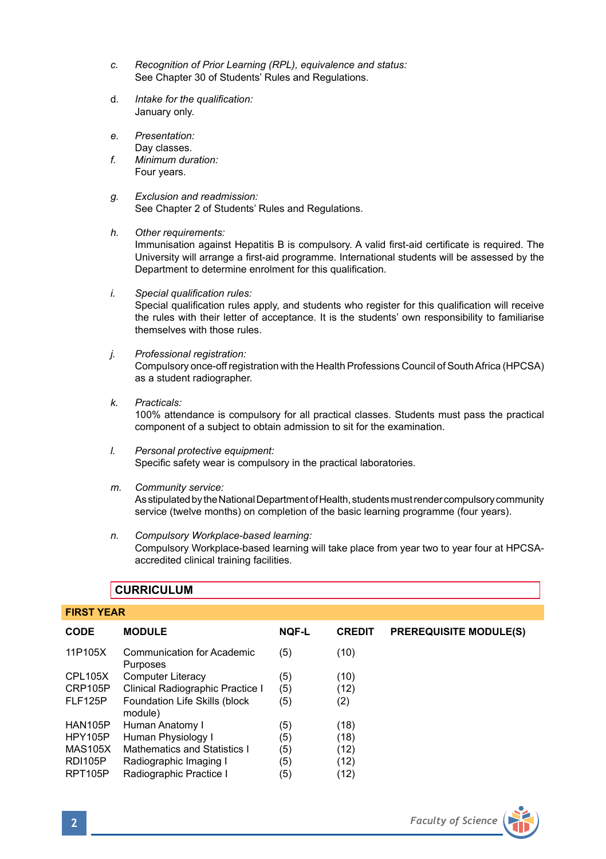- *c. Recognition of Prior Learning (RPL), equivalence and status:* See Chapter 30 of Students' Rules and Regulations.
- d*. Intake for the qualification:*  January only.
- *e. Presentation:*  Day classes.
- *f. Minimum duration:* Four years.
- *g. Exclusion and readmission:* See Chapter 2 of Students' Rules and Regulations.
- *h. Other requirements:*

Immunisation against Hepatitis B is compulsory. A valid first-aid certificate is required. The University will arrange a first-aid programme. International students will be assessed by the Department to determine enrolment for this qualification.

*i. Special qualification rules:*

Special qualification rules apply, and students who register for this qualification will receive the rules with their letter of acceptance. It is the students' own responsibility to familiarise themselves with those rules.

- *j. Professional registration:* Compulsory once-off registration with the Health Professions Council of South Africa (HPCSA) as a student radiographer.
- *k. Practicals:*

100% attendance is compulsory for all practical classes. Students must pass the practical component of a subject to obtain admission to sit for the examination.

- *l. Personal protective equipment:* Specific safety wear is compulsory in the practical laboratories.
- *m. Community service:*

As stipulated by the National Department of Health, students must render compulsory community service (twelve months) on completion of the basic learning programme (four years).

*n. Compulsory Workplace-based learning:* Compulsory Workplace-based learning will take place from year two to year four at HPCSAaccredited clinical training facilities.

| <b>FIRST YEAR</b>                        |              |               |                               |  |  |  |
|------------------------------------------|--------------|---------------|-------------------------------|--|--|--|
| <b>MODULE</b>                            | <b>NQF-L</b> | <b>CREDIT</b> | <b>PREREQUISITE MODULE(S)</b> |  |  |  |
| Communication for Academic<br>Purposes   | (5)          | (10)          |                               |  |  |  |
| <b>Computer Literacy</b>                 | (5)          | (10)          |                               |  |  |  |
| Clinical Radiographic Practice I         | (5)          | (12)          |                               |  |  |  |
| Foundation Life Skills (block<br>module) | (5)          | (2)           |                               |  |  |  |
| Human Anatomy I                          | (5)          | (18)          |                               |  |  |  |
| Human Physiology I                       | (5)          | (18)          |                               |  |  |  |
| Mathematics and Statistics I             | (5)          | (12)          |                               |  |  |  |
| Radiographic Imaging I                   | (5)          | (12)          |                               |  |  |  |
| Radiographic Practice I                  | (5)          | (12)          |                               |  |  |  |
|                                          |              |               |                               |  |  |  |

## **CURRICULUM**

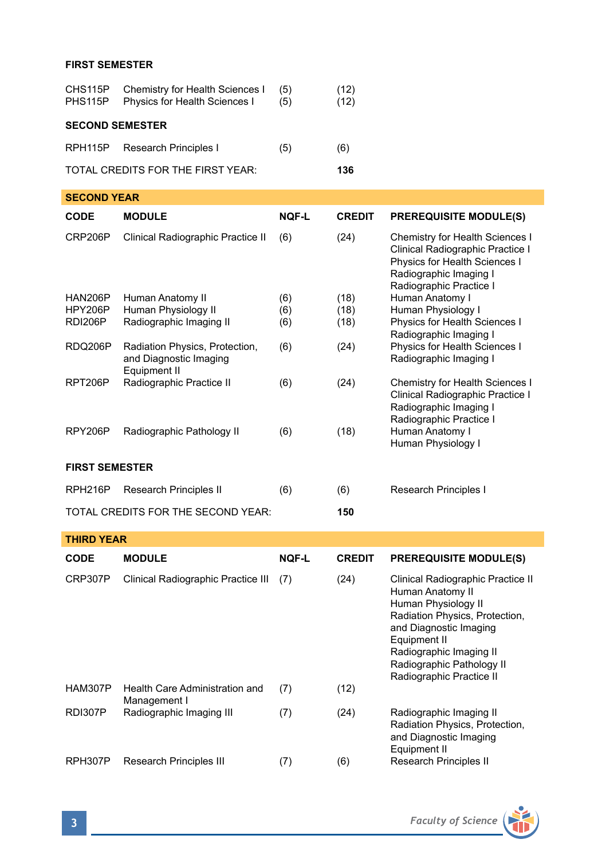## **FIRST SEMESTER**

| PHS115P                                  | CHS115P Chemistry for Health Sciences I<br>Physics for Health Sciences I | (5)<br>(5) | (12)<br>(12) |  |  |
|------------------------------------------|--------------------------------------------------------------------------|------------|--------------|--|--|
| <b>SECOND SEMESTER</b>                   |                                                                          |            |              |  |  |
|                                          | RPH115P Research Principles I                                            | (5)        | (6)          |  |  |
| TOTAL CREDITS FOR THE FIRST YEAR:<br>136 |                                                                          |            |              |  |  |

| <b>SECOND YEAR</b>    |                                                                          |              |               |                                                                                                                                                           |  |  |
|-----------------------|--------------------------------------------------------------------------|--------------|---------------|-----------------------------------------------------------------------------------------------------------------------------------------------------------|--|--|
| <b>CODE</b>           | <b>MODULE</b>                                                            | <b>NOF-L</b> | <b>CREDIT</b> | <b>PREREQUISITE MODULE(S)</b>                                                                                                                             |  |  |
| CRP206P               | Clinical Radiographic Practice II                                        | (6)          | (24)          | Chemistry for Health Sciences I<br>Clinical Radiographic Practice I<br>Physics for Health Sciences I<br>Radiographic Imaging I<br>Radiographic Practice I |  |  |
| <b>HAN206P</b>        | Human Anatomy II                                                         | (6)          | (18)          | Human Anatomy I                                                                                                                                           |  |  |
| <b>HPY206P</b>        | Human Physiology II                                                      | (6)          | (18)          | Human Physiology I                                                                                                                                        |  |  |
| RDI206P               | Radiographic Imaging II                                                  | (6)          | (18)          | Physics for Health Sciences I                                                                                                                             |  |  |
|                       |                                                                          |              |               | Radiographic Imaging I                                                                                                                                    |  |  |
| RDQ206P               | Radiation Physics, Protection,<br>and Diagnostic Imaging<br>Equipment II | (6)          | (24)          | Physics for Health Sciences I<br>Radiographic Imaging I                                                                                                   |  |  |
| RPT206P               | Radiographic Practice II                                                 | (6)          | (24)          | Chemistry for Health Sciences I<br>Clinical Radiographic Practice I<br>Radiographic Imaging I                                                             |  |  |
| RPY206P               | Radiographic Pathology II                                                | (6)          | (18)          | Radiographic Practice I<br>Human Anatomy I<br>Human Physiology I                                                                                          |  |  |
| <b>FIRST SEMESTER</b> |                                                                          |              |               |                                                                                                                                                           |  |  |
| RPH <sub>216</sub> P  | Research Principles II                                                   | (6)          | (6)           | Research Principles I                                                                                                                                     |  |  |
|                       | TOTAL CREDITS FOR THE SECOND YEAR:                                       |              | 150           |                                                                                                                                                           |  |  |
| <b>THIRD YEAR</b>     |                                                                          |              |               |                                                                                                                                                           |  |  |
| <b>CODE</b>           | <b>MODULE</b>                                                            | <b>NOF-L</b> | <b>CREDIT</b> | <b>PREREQUISITE MODULE(S)</b>                                                                                                                             |  |  |
| CRP307P               | Clinical Radiographic Practice III                                       | (7)          | (24)          | Clinical Radiographic Practice II                                                                                                                         |  |  |

| CRP307P        | Clinical Radiographic Practice III             | (7) | (24) | Clinical Radiographic Practice II<br>Human Anatomy II<br>Human Physiology II<br>Radiation Physics, Protection,<br>and Diagnostic Imaging<br>Equipment II<br>Radiographic Imaging II<br>Radiographic Pathology II<br>Radiographic Practice II |
|----------------|------------------------------------------------|-----|------|----------------------------------------------------------------------------------------------------------------------------------------------------------------------------------------------------------------------------------------------|
| HAM307P        | Health Care Administration and<br>Management I | (7) | (12) |                                                                                                                                                                                                                                              |
| <b>RDI307P</b> | Radiographic Imaging III                       | (7) | (24) | Radiographic Imaging II<br>Radiation Physics, Protection,<br>and Diagnostic Imaging<br>Equipment II                                                                                                                                          |
| RPH307P        | Research Principles III                        | (7) | (6)  | Research Principles II                                                                                                                                                                                                                       |

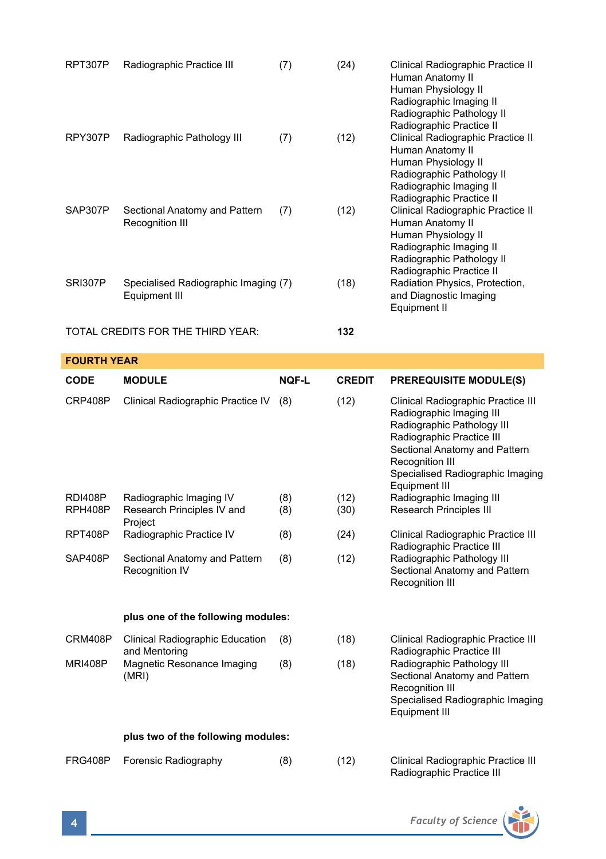| RPT307P                            | Radiographic Practice III                                        | (7)          | (24)          | Clinical Radiographic Practice II<br>Human Anatomy II<br>Human Physiology II<br>Radiographic Imaging II<br>Radiographic Pathology II                                                                                               |  |  |
|------------------------------------|------------------------------------------------------------------|--------------|---------------|------------------------------------------------------------------------------------------------------------------------------------------------------------------------------------------------------------------------------------|--|--|
| RPY307P                            | Radiographic Pathology III                                       | (7)          | (12)          | Radiographic Practice II<br>Clinical Radiographic Practice II<br>Human Anatomy II<br>Human Physiology II<br>Radiographic Pathology II<br>Radiographic Imaging II                                                                   |  |  |
| SAP307P                            | Sectional Anatomy and Pattern<br>Recognition III                 | (7)          | (12)          | Radiographic Practice II<br>Clinical Radiographic Practice II<br>Human Anatomy II<br>Human Physiology II<br>Radiographic Imaging II<br>Radiographic Pathology II<br>Radiographic Practice II                                       |  |  |
| SRI307P                            | Specialised Radiographic Imaging (7)<br><b>Equipment III</b>     |              | (18)          | Radiation Physics, Protection,<br>and Diagnostic Imaging<br>Equipment II                                                                                                                                                           |  |  |
|                                    | TOTAL CREDITS FOR THE THIRD YEAR:                                |              | 132           |                                                                                                                                                                                                                                    |  |  |
| <b>FOURTH YEAR</b>                 |                                                                  |              |               |                                                                                                                                                                                                                                    |  |  |
| CODE                               | <b>MODULE</b>                                                    | <b>NOF-L</b> | <b>CREDIT</b> | <b>PREREQUISITE MODULE(S)</b>                                                                                                                                                                                                      |  |  |
| CRP408P                            | Clinical Radiographic Practice IV                                | (8)          | (12)          | Clinical Radiographic Practice III<br>Radiographic Imaging III<br>Radiographic Pathology III<br>Radiographic Practice III<br>Sectional Anatomy and Pattern<br>Recognition III<br>Specialised Radiographic Imaging<br>Equipment III |  |  |
| RDI408P<br>RPH408P                 | Radiographic Imaging IV<br>Research Principles IV and<br>Project | (8)<br>(8)   | (12)<br>(30)  | Radiographic Imaging III<br>Research Principles III                                                                                                                                                                                |  |  |
| RPT408P                            | Radiographic Practice IV                                         | (8)          | (24)          | Clinical Radiographic Practice III<br>Radiographic Practice III                                                                                                                                                                    |  |  |
| SAP408P                            | Sectional Anatomy and Pattern<br>Recognition IV                  | (8)          | (12)          | Radiographic Pathology III<br>Sectional Anatomy and Pattern<br>Recognition III                                                                                                                                                     |  |  |
| plus one of the following modules: |                                                                  |              |               |                                                                                                                                                                                                                                    |  |  |
| CRM408P                            | Clinical Radiographic Education                                  | (8)          | (18)          | Clinical Radiographic Practice III                                                                                                                                                                                                 |  |  |
| <b>MRI408P</b>                     | and Mentoring<br>Magnetic Resonance Imaging<br>(MRI)             | (8)          | (18)          | Radiographic Practice III<br>Radiographic Pathology III<br>Sectional Anatomy and Pattern<br>Recognition III<br>Specialised Radiographic Imaging<br>Equipment III                                                                   |  |  |
| plus two of the following modules: |                                                                  |              |               |                                                                                                                                                                                                                                    |  |  |
|                                    |                                                                  |              |               |                                                                                                                                                                                                                                    |  |  |

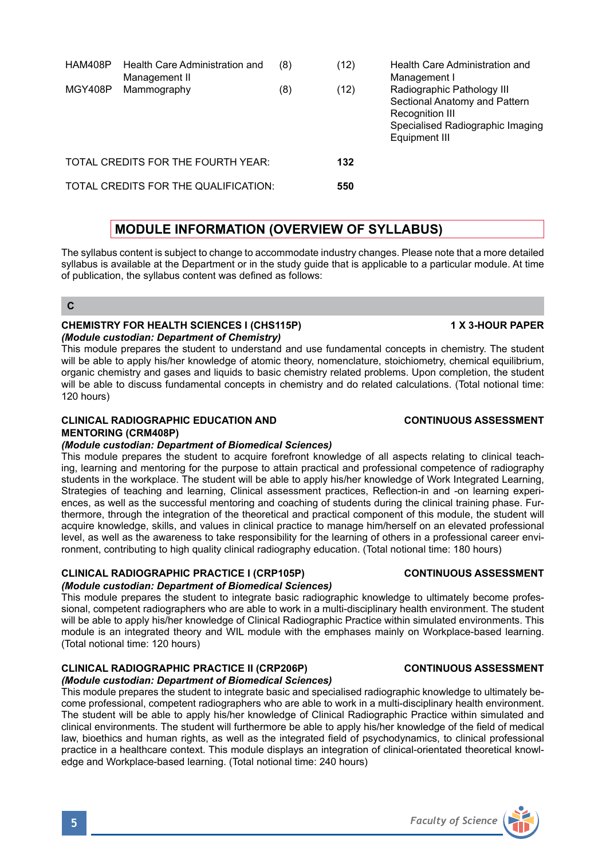| HAM408P | Health Care Administration and<br>Management II | (8) | (12) | Health Care Administration and<br>Management I                                                                                      |
|---------|-------------------------------------------------|-----|------|-------------------------------------------------------------------------------------------------------------------------------------|
| MGY408P | Mammography                                     | (8) | (12) | Radiographic Pathology III<br>Sectional Anatomy and Pattern<br>Recognition III<br>Specialised Radiographic Imaging<br>Equipment III |
|         | TOTAL CREDITS FOR THE FOURTH YEAR:              |     | 132  |                                                                                                                                     |
|         | TOTAL CREDITS FOR THE QUALIFICATION:            |     | 550  |                                                                                                                                     |
|         |                                                 |     |      |                                                                                                                                     |

# **MODULE INFORMATION (OVERVIEW OF SYLLABUS)**

The syllabus content is subject to change to accommodate industry changes. Please note that a more detailed syllabus is available at the Department or in the study guide that is applicable to a particular module. At time of publication, the syllabus content was defined as follows:

**C**

## **CHEMISTRY FOR HEALTH SCIENCES I (CHS115P) 1 X 3-HOUR PAPER** *(Module custodian: Department of Chemistry)*

This module prepares the student to understand and use fundamental concepts in chemistry. The student will be able to apply his/her knowledge of atomic theory, nomenclature, stoichiometry, chemical equilibrium, organic chemistry and gases and liquids to basic chemistry related problems. Upon completion, the student will be able to discuss fundamental concepts in chemistry and do related calculations. (Total notional time: 120 hours)

## **CLINICAL RADIOGRAPHIC EDUCATION AND CONTINUOUS ASSESSMENT MENTORING (CRM408P)**

## *(Module custodian: Department of Biomedical Sciences)*

This module prepares the student to acquire forefront knowledge of all aspects relating to clinical teaching, learning and mentoring for the purpose to attain practical and professional competence of radiography students in the workplace. The student will be able to apply his/her knowledge of Work Integrated Learning, Strategies of teaching and learning, Clinical assessment practices, Reflection-in and -on learning experiences, as well as the successful mentoring and coaching of students during the clinical training phase. Furthermore, through the integration of the theoretical and practical component of this module, the student will acquire knowledge, skills, and values in clinical practice to manage him/herself on an elevated professional level, as well as the awareness to take responsibility for the learning of others in a professional career environment, contributing to high quality clinical radiography education. (Total notional time: 180 hours)

#### **CLINICAL RADIOGRAPHIC PRACTICE I (CRP105P) CONTINUOUS ASSESSMENT** *(Module custodian: Department of Biomedical Sciences)*

This module prepares the student to integrate basic radiographic knowledge to ultimately become professional, competent radiographers who are able to work in a multi-disciplinary health environment. The student will be able to apply his/her knowledge of Clinical Radiographic Practice within simulated environments. This module is an integrated theory and WIL module with the emphases mainly on Workplace-based learning. (Total notional time: 120 hours)

# **CLINICAL RADIOGRAPHIC PRACTICE II (CRP206P) CONTINUOUS ASSESSMENT**

## *(Module custodian: Department of Biomedical Sciences)*

This module prepares the student to integrate basic and specialised radiographic knowledge to ultimately become professional, competent radiographers who are able to work in a multi-disciplinary health environment. The student will be able to apply his/her knowledge of Clinical Radiographic Practice within simulated and clinical environments. The student will furthermore be able to apply his/her knowledge of the field of medical law, bioethics and human rights, as well as the integrated field of psychodynamics, to clinical professional practice in a healthcare context. This module displays an integration of clinical-orientated theoretical knowledge and Workplace-based learning. (Total notional time: 240 hours)

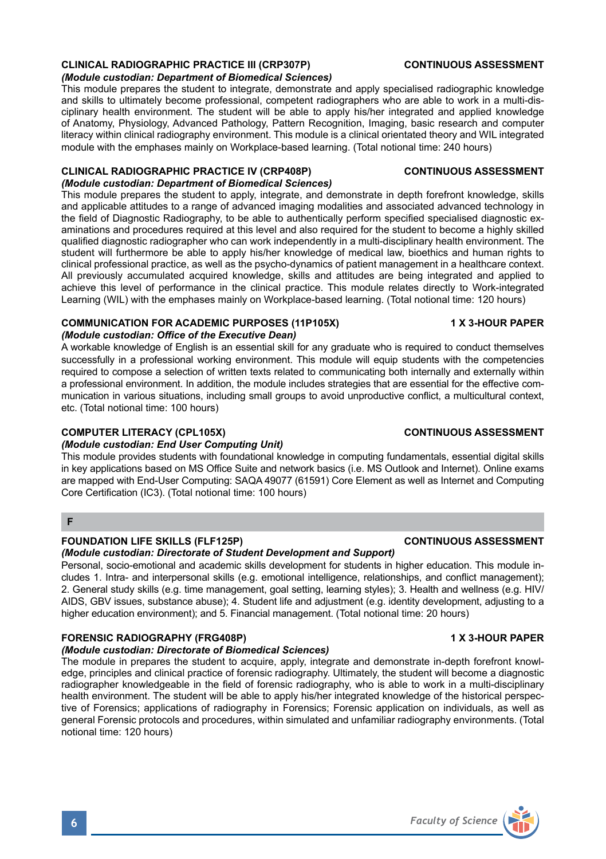## **CLINICAL RADIOGRAPHIC PRACTICE III (CRP307P) CONTINUOUS ASSESSMENT**

#### *(Module custodian: Department of Biomedical Sciences)*

This module prepares the student to integrate, demonstrate and apply specialised radiographic knowledge and skills to ultimately become professional, competent radiographers who are able to work in a multi-disciplinary health environment. The student will be able to apply his/her integrated and applied knowledge of Anatomy, Physiology, Advanced Pathology, Pattern Recognition, Imaging, basic research and computer literacy within clinical radiography environment. This module is a clinical orientated theory and WIL integrated module with the emphases mainly on Workplace-based learning. (Total notional time: 240 hours)

## **CLINICAL RADIOGRAPHIC PRACTICE IV (CRP408P) CONTINUOUS ASSESSMENT**

#### *(Module custodian: Department of Biomedical Sciences)*

This module prepares the student to apply, integrate, and demonstrate in depth forefront knowledge, skills and applicable attitudes to a range of advanced imaging modalities and associated advanced technology in the field of Diagnostic Radiography, to be able to authentically perform specified specialised diagnostic examinations and procedures required at this level and also required for the student to become a highly skilled qualified diagnostic radiographer who can work independently in a multi-disciplinary health environment. The student will furthermore be able to apply his/her knowledge of medical law, bioethics and human rights to clinical professional practice, as well as the psycho-dynamics of patient management in a healthcare context. All previously accumulated acquired knowledge, skills and attitudes are being integrated and applied to achieve this level of performance in the clinical practice. This module relates directly to Work-integrated Learning (WIL) with the emphases mainly on Workplace-based learning. (Total notional time: 120 hours)

#### **COMMUNICATION FOR ACADEMIC PURPOSES (11P105X) 1 X 3-HOUR PAPER** *(Module custodian: Office of the Executive Dean)*

A workable knowledge of English is an essential skill for any graduate who is required to conduct themselves successfully in a professional working environment. This module will equip students with the competencies required to compose a selection of written texts related to communicating both internally and externally within a professional environment. In addition, the module includes strategies that are essential for the effective communication in various situations, including small groups to avoid unproductive conflict, a multicultural context, etc. (Total notional time: 100 hours)

### **COMPUTER LITERACY (CPL105X) CONTINUOUS ASSESSMENT**

### *(Module custodian: End User Computing Unit)*

This module provides students with foundational knowledge in computing fundamentals, essential digital skills in key applications based on MS Office Suite and network basics (i.e. MS Outlook and Internet). Online exams are mapped with End-User Computing: SAQA 49077 (61591) Core Element as well as Internet and Computing Core Certification (IC3). (Total notional time: 100 hours)

## **F**

### **FOUNDATION LIFE SKILLS (FLF125P) CONTINUOUS ASSESSMENT**

*(Module custodian: Directorate of Student Development and Support)*

Personal, socio-emotional and academic skills development for students in higher education. This module includes 1. Intra- and interpersonal skills (e.g. emotional intelligence, relationships, and conflict management); 2. General study skills (e.g. time management, goal setting, learning styles); 3. Health and wellness (e.g. HIV/ AIDS, GBV issues, substance abuse); 4. Student life and adjustment (e.g. identity development, adjusting to a higher education environment); and 5. Financial management. (Total notional time: 20 hours)

### **FORENSIC RADIOGRAPHY (FRG408P) 1 X 3-HOUR PAPER**

### *(Module custodian: Directorate of Biomedical Sciences)*

The module in prepares the student to acquire, apply, integrate and demonstrate in-depth forefront knowledge, principles and clinical practice of forensic radiography. Ultimately, the student will become a diagnostic radiographer knowledgeable in the field of forensic radiography, who is able to work in a multi-disciplinary health environment. The student will be able to apply his/her integrated knowledge of the historical perspective of Forensics; applications of radiography in Forensics; Forensic application on individuals, as well as general Forensic protocols and procedures, within simulated and unfamiliar radiography environments. (Total notional time: 120 hours)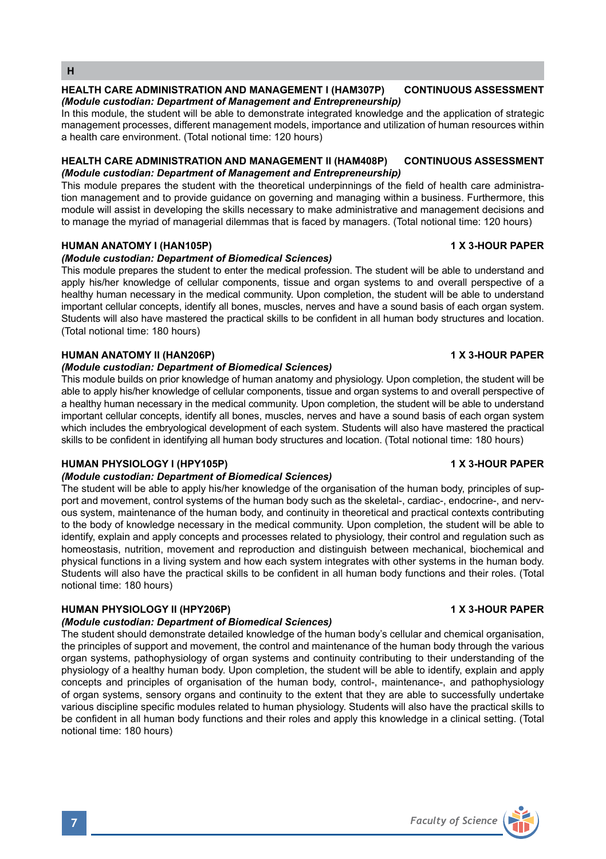#### **HEALTH CARE ADMINISTRATION AND MANAGEMENT I (HAM307P) CONTINUOUS ASSESSMENT** *(Module custodian: Department of Management and Entrepreneurship)*

In this module, the student will be able to demonstrate integrated knowledge and the application of strategic management processes, different management models, importance and utilization of human resources within a health care environment. (Total notional time: 120 hours)

### **HEALTH CARE ADMINISTRATION AND MANAGEMENT II (HAM408P) CONTINUOUS ASSESSMENT** *(Module custodian: Department of Management and Entrepreneurship)*

This module prepares the student with the theoretical underpinnings of the field of health care administration management and to provide guidance on governing and managing within a business. Furthermore, this module will assist in developing the skills necessary to make administrative and management decisions and to manage the myriad of managerial dilemmas that is faced by managers. (Total notional time: 120 hours)

## **HUMAN ANATOMY I (HAN105P) 1 X 3-HOUR PAPER**

## *(Module custodian: Department of Biomedical Sciences)*

This module prepares the student to enter the medical profession. The student will be able to understand and apply his/her knowledge of cellular components, tissue and organ systems to and overall perspective of a healthy human necessary in the medical community. Upon completion, the student will be able to understand important cellular concepts, identify all bones, muscles, nerves and have a sound basis of each organ system. Students will also have mastered the practical skills to be confident in all human body structures and location. (Total notional time: 180 hours)

## **HUMAN ANATOMY II (HAN206P) 1 X 3-HOUR PAPER**

### *(Module custodian: Department of Biomedical Sciences)*

This module builds on prior knowledge of human anatomy and physiology. Upon completion, the student will be able to apply his/her knowledge of cellular components, tissue and organ systems to and overall perspective of a healthy human necessary in the medical community. Upon completion, the student will be able to understand important cellular concepts, identify all bones, muscles, nerves and have a sound basis of each organ system which includes the embryological development of each system. Students will also have mastered the practical skills to be confident in identifying all human body structures and location. (Total notional time: 180 hours)

### **HUMAN PHYSIOLOGY I (HPY105P) 1 X 3-HOUR PAPER**

### *(Module custodian: Department of Biomedical Sciences)*

The student will be able to apply his/her knowledge of the organisation of the human body, principles of support and movement, control systems of the human body such as the skeletal-, cardiac-, endocrine-, and nervous system, maintenance of the human body, and continuity in theoretical and practical contexts contributing to the body of knowledge necessary in the medical community. Upon completion, the student will be able to identify, explain and apply concepts and processes related to physiology, their control and regulation such as homeostasis, nutrition, movement and reproduction and distinguish between mechanical, biochemical and physical functions in a living system and how each system integrates with other systems in the human body. Students will also have the practical skills to be confident in all human body functions and their roles. (Total notional time: 180 hours)

## **HUMAN PHYSIOLOGY II (HPY206P) 1 X 3-HOUR PAPER**

## *(Module custodian: Department of Biomedical Sciences)*

The student should demonstrate detailed knowledge of the human body's cellular and chemical organisation, the principles of support and movement, the control and maintenance of the human body through the various organ systems, pathophysiology of organ systems and continuity contributing to their understanding of the physiology of a healthy human body. Upon completion, the student will be able to identify, explain and apply concepts and principles of organisation of the human body, control-, maintenance-, and pathophysiology of organ systems, sensory organs and continuity to the extent that they are able to successfully undertake various discipline specific modules related to human physiology. Students will also have the practical skills to be confident in all human body functions and their roles and apply this knowledge in a clinical setting. (Total notional time: 180 hours)

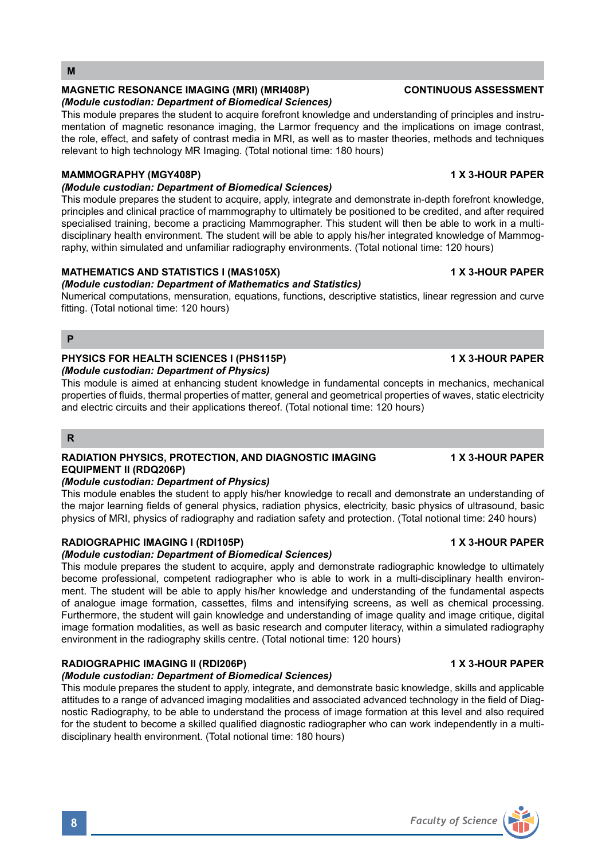### **M**

## **MAGNETIC RESONANCE IMAGING (MRI) (MRI408P) CONTINUOUS ASSESSMENT**

#### *(Module custodian: Department of Biomedical Sciences)*

This module prepares the student to acquire forefront knowledge and understanding of principles and instrumentation of magnetic resonance imaging, the Larmor frequency and the implications on image contrast, the role, effect, and safety of contrast media in MRI, as well as to master theories, methods and techniques relevant to high technology MR Imaging. (Total notional time: 180 hours)

### **MAMMOGRAPHY (MGY408P) 1 X 3-HOUR PAPER**

## *(Module custodian: Department of Biomedical Sciences)*

This module prepares the student to acquire, apply, integrate and demonstrate in-depth forefront knowledge, principles and clinical practice of mammography to ultimately be positioned to be credited, and after required specialised training, become a practicing Mammographer. This student will then be able to work in a multidisciplinary health environment. The student will be able to apply his/her integrated knowledge of Mammography, within simulated and unfamiliar radiography environments. (Total notional time: 120 hours)

## **MATHEMATICS AND STATISTICS I (MAS105X) 1 X 3-HOUR PAPER**

### *(Module custodian: Department of Mathematics and Statistics)*

Numerical computations, mensuration, equations, functions, descriptive statistics, linear regression and curve fitting. (Total notional time: 120 hours)

#### **P**

#### PHYSICS FOR HEALTH SCIENCES I (PHS115P) **1 X 3-HOUR PAPER** *(Module custodian: Department of Physics)*

This module is aimed at enhancing student knowledge in fundamental concepts in mechanics, mechanical properties of fluids, thermal properties of matter, general and geometrical properties of waves, static electricity and electric circuits and their applications thereof. (Total notional time: 120 hours)

## **R**

## **RADIATION PHYSICS, PROTECTION, AND DIAGNOSTIC IMAGING 1 X 3-HOUR PAPER EQUIPMENT II (RDQ206P)**

### *(Module custodian: Department of Physics)*

This module enables the student to apply his/her knowledge to recall and demonstrate an understanding of the major learning fields of general physics, radiation physics, electricity, basic physics of ultrasound, basic physics of MRI, physics of radiography and radiation safety and protection. (Total notional time: 240 hours)

## RADIOGRAPHIC IMAGING I (RDI105P) **1 X 3-HOUR PAPER**

## *(Module custodian: Department of Biomedical Sciences)*

This module prepares the student to acquire, apply and demonstrate radiographic knowledge to ultimately become professional, competent radiographer who is able to work in a multi-disciplinary health environment. The student will be able to apply his/her knowledge and understanding of the fundamental aspects of analogue image formation, cassettes, films and intensifying screens, as well as chemical processing. Furthermore, the student will gain knowledge and understanding of image quality and image critique, digital image formation modalities, as well as basic research and computer literacy, within a simulated radiography environment in the radiography skills centre. (Total notional time: 120 hours)

## **RADIOGRAPHIC IMAGING II (RDI206P) 1 X 3-HOUR PAPER**

### *(Module custodian: Department of Biomedical Sciences)*

This module prepares the student to apply, integrate, and demonstrate basic knowledge, skills and applicable attitudes to a range of advanced imaging modalities and associated advanced technology in the field of Diagnostic Radiography, to be able to understand the process of image formation at this level and also required for the student to become a skilled qualified diagnostic radiographer who can work independently in a multidisciplinary health environment. (Total notional time: 180 hours)

**8** *Faculty of Science*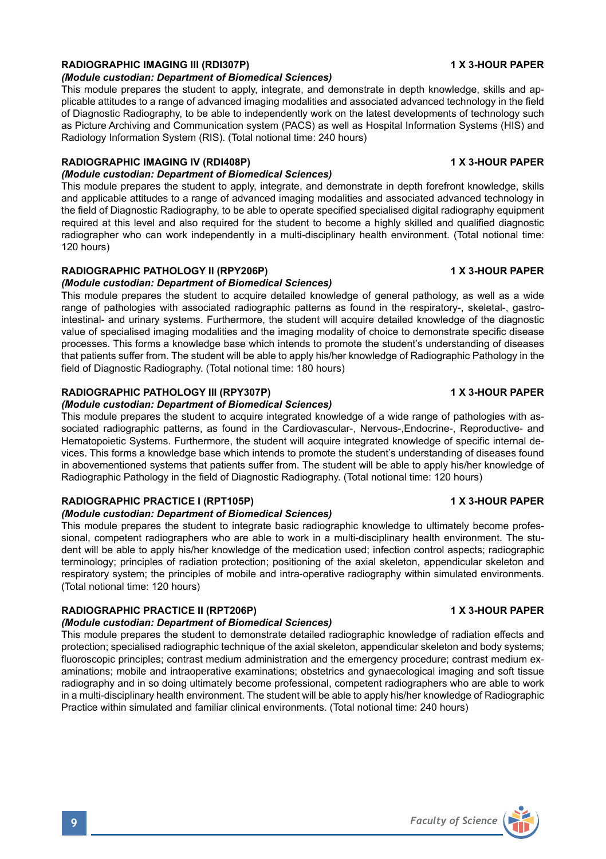# **RADIOGRAPHIC IMAGING III (RDI307P) 1 X 3-HOUR PAPER**

### *(Module custodian: Department of Biomedical Sciences)*

This module prepares the student to apply, integrate, and demonstrate in depth knowledge, skills and applicable attitudes to a range of advanced imaging modalities and associated advanced technology in the field of Diagnostic Radiography, to be able to independently work on the latest developments of technology such as Picture Archiving and Communication system (PACS) as well as Hospital Information Systems (HIS) and Radiology Information System (RIS). (Total notional time: 240 hours)

## **RADIOGRAPHIC IMAGING IV (RDI408P) 1 X 3-HOUR PAPER**

#### *(Module custodian: Department of Biomedical Sciences)*

This module prepares the student to apply, integrate, and demonstrate in depth forefront knowledge, skills and applicable attitudes to a range of advanced imaging modalities and associated advanced technology in the field of Diagnostic Radiography, to be able to operate specified specialised digital radiography equipment required at this level and also required for the student to become a highly skilled and qualified diagnostic radiographer who can work independently in a multi-disciplinary health environment. (Total notional time: 120 hours)

## **RADIOGRAPHIC PATHOLOGY II (RPY206P) 1 X 3-HOUR PAPER**

## *(Module custodian: Department of Biomedical Sciences)*

This module prepares the student to acquire detailed knowledge of general pathology, as well as a wide range of pathologies with associated radiographic patterns as found in the respiratory-, skeletal-, gastrointestinal- and urinary systems. Furthermore, the student will acquire detailed knowledge of the diagnostic value of specialised imaging modalities and the imaging modality of choice to demonstrate specific disease processes. This forms a knowledge base which intends to promote the student's understanding of diseases that patients suffer from. The student will be able to apply his/her knowledge of Radiographic Pathology in the field of Diagnostic Radiography. (Total notional time: 180 hours)

## **RADIOGRAPHIC PATHOLOGY III (RPY307P) 1 X 3-HOUR PAPER**

### *(Module custodian: Department of Biomedical Sciences)*

This module prepares the student to acquire integrated knowledge of a wide range of pathologies with associated radiographic patterns, as found in the Cardiovascular-, Nervous-,Endocrine-, Reproductive- and Hematopoietic Systems. Furthermore, the student will acquire integrated knowledge of specific internal devices. This forms a knowledge base which intends to promote the student's understanding of diseases found in abovementioned systems that patients suffer from. The student will be able to apply his/her knowledge of Radiographic Pathology in the field of Diagnostic Radiography. (Total notional time: 120 hours)

## **RADIOGRAPHIC PRACTICE I (RPT105P) 1 X 3-HOUR PAPER**

### *(Module custodian: Department of Biomedical Sciences)*

This module prepares the student to integrate basic radiographic knowledge to ultimately become professional, competent radiographers who are able to work in a multi-disciplinary health environment. The student will be able to apply his/her knowledge of the medication used; infection control aspects; radiographic terminology; principles of radiation protection; positioning of the axial skeleton, appendicular skeleton and respiratory system; the principles of mobile and intra-operative radiography within simulated environments. (Total notional time: 120 hours)

## RADIOGRAPHIC PRACTICE II (RPT206P) **1 X 3-HOUR PAPER**

#### *(Module custodian: Department of Biomedical Sciences)*

This module prepares the student to demonstrate detailed radiographic knowledge of radiation effects and protection; specialised radiographic technique of the axial skeleton, appendicular skeleton and body systems; fluoroscopic principles; contrast medium administration and the emergency procedure; contrast medium examinations; mobile and intraoperative examinations; obstetrics and gynaecological imaging and soft tissue radiography and in so doing ultimately become professional, competent radiographers who are able to work in a multi-disciplinary health environment. The student will be able to apply his/her knowledge of Radiographic Practice within simulated and familiar clinical environments. (Total notional time: 240 hours)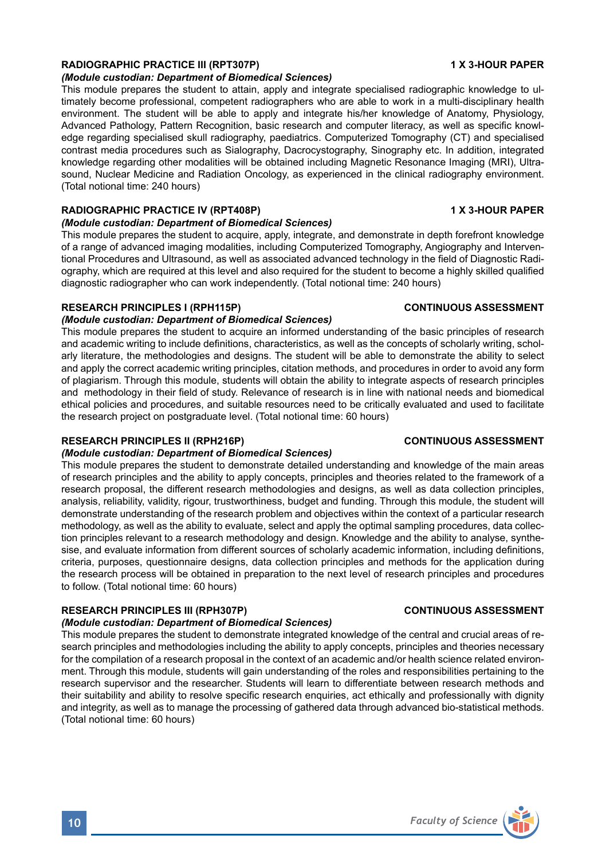## **RADIOGRAPHIC PRACTICE III (RPT307P) 1 X 3-HOUR PAPER**

#### *(Module custodian: Department of Biomedical Sciences)*

This module prepares the student to attain, apply and integrate specialised radiographic knowledge to ultimately become professional, competent radiographers who are able to work in a multi-disciplinary health environment. The student will be able to apply and integrate his/her knowledge of Anatomy, Physiology, Advanced Pathology, Pattern Recognition, basic research and computer literacy, as well as specific knowledge regarding specialised skull radiography, paediatrics. Computerized Tomography (CT) and specialised contrast media procedures such as Sialography, Dacrocystography, Sinography etc. In addition, integrated knowledge regarding other modalities will be obtained including Magnetic Resonance Imaging (MRI), Ultrasound, Nuclear Medicine and Radiation Oncology, as experienced in the clinical radiography environment. (Total notional time: 240 hours)

# RADIOGRAPHIC PRACTICE IV (RPT408P) **1 X 3-HOUR PAPER**

*(Module custodian: Department of Biomedical Sciences)*

This module prepares the student to acquire, apply, integrate, and demonstrate in depth forefront knowledge of a range of advanced imaging modalities, including Computerized Tomography, Angiography and Interventional Procedures and Ultrasound, as well as associated advanced technology in the field of Diagnostic Radiography, which are required at this level and also required for the student to become a highly skilled qualified diagnostic radiographer who can work independently. (Total notional time: 240 hours)

### **RESEARCH PRINCIPLES I (RPH115P) CONTINUOUS ASSESSMENT**

#### *(Module custodian: Department of Biomedical Sciences)*

This module prepares the student to acquire an informed understanding of the basic principles of research and academic writing to include definitions, characteristics, as well as the concepts of scholarly writing, scholarly literature, the methodologies and designs. The student will be able to demonstrate the ability to select and apply the correct academic writing principles, citation methods, and procedures in order to avoid any form of plagiarism. Through this module, students will obtain the ability to integrate aspects of research principles and methodology in their field of study. Relevance of research is in line with national needs and biomedical ethical policies and procedures, and suitable resources need to be critically evaluated and used to facilitate the research project on postgraduate level. (Total notional time: 60 hours)

### **RESEARCH PRINCIPLES II (RPH216P) CONTINUOUS ASSESSMENT**

### *(Module custodian: Department of Biomedical Sciences)*

This module prepares the student to demonstrate detailed understanding and knowledge of the main areas of research principles and the ability to apply concepts, principles and theories related to the framework of a research proposal, the different research methodologies and designs, as well as data collection principles, analysis, reliability, validity, rigour, trustworthiness, budget and funding. Through this module, the student will demonstrate understanding of the research problem and objectives within the context of a particular research methodology, as well as the ability to evaluate, select and apply the optimal sampling procedures, data collection principles relevant to a research methodology and design. Knowledge and the ability to analyse, synthesise, and evaluate information from different sources of scholarly academic information, including definitions, criteria, purposes, questionnaire designs, data collection principles and methods for the application during the research process will be obtained in preparation to the next level of research principles and procedures to follow. (Total notional time: 60 hours)

### **RESEARCH PRINCIPLES III (RPH307P) CONTINUOUS ASSESSMENT**

## *(Module custodian: Department of Biomedical Sciences)*

This module prepares the student to demonstrate integrated knowledge of the central and crucial areas of research principles and methodologies including the ability to apply concepts, principles and theories necessary for the compilation of a research proposal in the context of an academic and/or health science related environment. Through this module, students will gain understanding of the roles and responsibilities pertaining to the research supervisor and the researcher. Students will learn to differentiate between research methods and their suitability and ability to resolve specific research enquiries, act ethically and professionally with dignity and integrity, as well as to manage the processing of gathered data through advanced bio-statistical methods. (Total notional time: 60 hours)